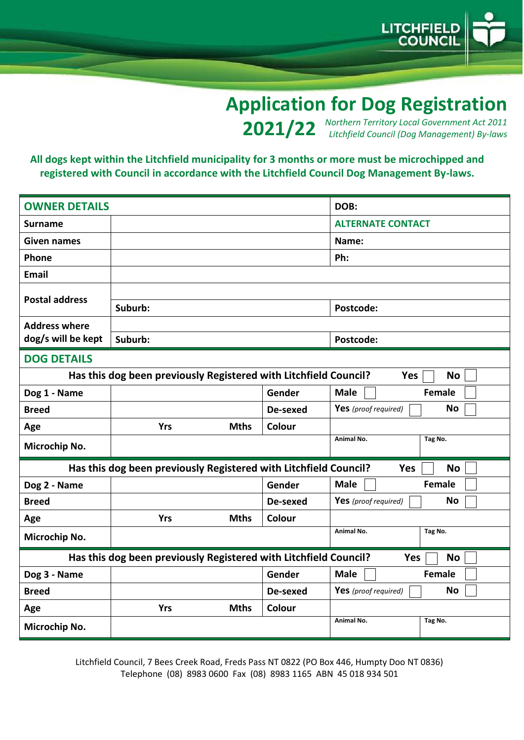

## **Application for Dog Registration**

*Northern Territory Local Government Act 2011* **2021/22** *Litchfield Council (Dog Management) By-laws* 

## **All dogs kept within the Litchfield municipality for 3 months or more must be microchipped and registered with Council in accordance with the Litchfield Council Dog Management By-laws.**

| <b>OWNER DETAILS</b>                                                                        |                                                                  |          | DOB:                              |  |  |
|---------------------------------------------------------------------------------------------|------------------------------------------------------------------|----------|-----------------------------------|--|--|
| <b>Surname</b>                                                                              |                                                                  |          | <b>ALTERNATE CONTACT</b>          |  |  |
| <b>Given names</b>                                                                          |                                                                  |          | Name:                             |  |  |
| Phone                                                                                       |                                                                  |          | Ph:                               |  |  |
| <b>Email</b>                                                                                |                                                                  |          |                                   |  |  |
| <b>Postal address</b>                                                                       |                                                                  |          |                                   |  |  |
|                                                                                             | Suburb:                                                          |          | Postcode:                         |  |  |
| <b>Address where</b>                                                                        |                                                                  |          |                                   |  |  |
| dog/s will be kept                                                                          | Suburb:                                                          |          | Postcode:                         |  |  |
| <b>DOG DETAILS</b>                                                                          |                                                                  |          |                                   |  |  |
|                                                                                             | Has this dog been previously Registered with Litchfield Council? |          | <b>No</b><br><b>Yes</b>           |  |  |
| Dog 1 - Name                                                                                |                                                                  | Gender   | <b>Male</b><br><b>Female</b>      |  |  |
| <b>Breed</b>                                                                                |                                                                  | De-sexed | <b>No</b><br>Yes (proof required) |  |  |
| Age                                                                                         | <b>Yrs</b><br><b>Mths</b>                                        | Colour   |                                   |  |  |
| Microchip No.                                                                               |                                                                  |          | Tag No.<br>Animal No.             |  |  |
| Has this dog been previously Registered with Litchfield Council?<br><b>No</b><br><b>Yes</b> |                                                                  |          |                                   |  |  |
| Dog 2 - Name                                                                                |                                                                  | Gender   | <b>Male</b><br><b>Female</b>      |  |  |
| <b>Breed</b>                                                                                |                                                                  | De-sexed | <b>No</b><br>Yes (proof required) |  |  |
| Age                                                                                         | <b>Yrs</b><br><b>Mths</b>                                        | Colour   |                                   |  |  |
| Microchip No.                                                                               |                                                                  |          | <b>Animal No.</b><br>Tag No.      |  |  |
| Has this dog been previously Registered with Litchfield Council?<br><b>No</b><br><b>Yes</b> |                                                                  |          |                                   |  |  |
| Dog 3 - Name                                                                                |                                                                  | Gender   | <b>Male</b><br><b>Female</b>      |  |  |
| <b>Breed</b>                                                                                |                                                                  | De-sexed | <b>No</b><br>Yes (proof required) |  |  |
| Age                                                                                         | <b>Yrs</b><br><b>Mths</b>                                        | Colour   |                                   |  |  |
| Microchip No.                                                                               |                                                                  |          | <b>Animal No.</b><br>Tag No.      |  |  |

Litchfield Council, 7 Bees Creek Road, Freds Pass NT 0822 (PO Box 446, Humpty Doo NT 0836) Telephone (08) 8983 0600 Fax (08) 8983 1165 ABN 45 018 934 501